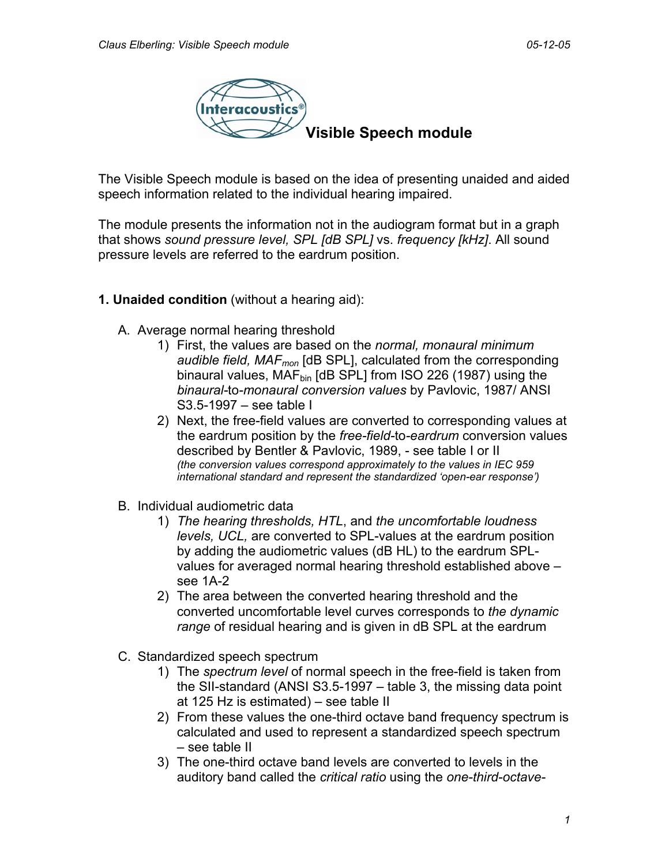

The Visible Speech module is based on the idea of presenting unaided and aided speech information related to the individual hearing impaired.

The module presents the information not in the audiogram format but in a graph that shows *sound pressure level, SPL [dB SPL]* vs. *frequency [kHz]*. All sound pressure levels are referred to the eardrum position.

## **1. Unaided condition** (without a hearing aid):

- A. Average normal hearing threshold
	- 1) First, the values are based on the *normal, monaural minimum audible field, MAFmon* [dB SPL], calculated from the corresponding binaural values, MAF<sub>bin</sub> [dB SPL] from ISO 226 (1987) using the *binaural-*to*-monaural conversion values* by Pavlovic, 1987/ ANSI S3.5-1997 – see table I
	- 2) Next, the free-field values are converted to corresponding values at the eardrum position by the *free-field-*to*-eardrum* conversion values described by Bentler & Pavlovic, 1989, - see table I or II *(the conversion values correspond approximately to the values in IEC 959 international standard and represent the standardized 'open-ear response')*
- B. Individual audiometric data
	- 1) *The hearing thresholds, HTL*, and *the uncomfortable loudness levels, UCL,* are converted to SPL-values at the eardrum position by adding the audiometric values (dB HL) to the eardrum SPLvalues for averaged normal hearing threshold established above – see 1A-2
	- 2) The area between the converted hearing threshold and the converted uncomfortable level curves corresponds to *the dynamic range* of residual hearing and is given in dB SPL at the eardrum
- C. Standardized speech spectrum
	- 1) The *spectrum level* of normal speech in the free-field is taken from the SII-standard (ANSI S3.5-1997 – table 3, the missing data point at 125 Hz is estimated) – see table II
	- 2) From these values the one-third octave band frequency spectrum is calculated and used to represent a standardized speech spectrum – see table II
	- 3) The one-third octave band levels are converted to levels in the auditory band called the *critical ratio* using the *one-third-octave-*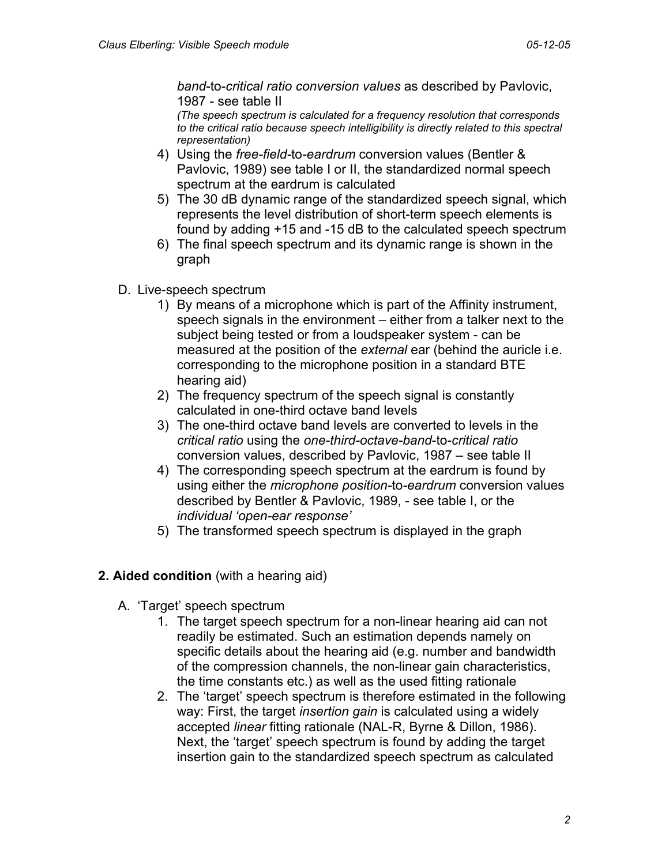*band*-to-*critical ratio conversion values* as described by Pavlovic, 1987 - see table II

*(The speech spectrum is calculated for a frequency resolution that corresponds to the critical ratio because speech intelligibility is directly related to this spectral representation)*

- 4) Using the *free-field-*to*-eardrum* conversion values (Bentler & Pavlovic, 1989) see table I or II, the standardized normal speech spectrum at the eardrum is calculated
- 5) The 30 dB dynamic range of the standardized speech signal, which represents the level distribution of short-term speech elements is found by adding +15 and -15 dB to the calculated speech spectrum
- 6) The final speech spectrum and its dynamic range is shown in the graph
- D. Live-speech spectrum
	- 1) By means of a microphone which is part of the Affinity instrument, speech signals in the environment – either from a talker next to the subject being tested or from a loudspeaker system - can be measured at the position of the *external* ear (behind the auricle i.e. corresponding to the microphone position in a standard BTE hearing aid)
	- 2) The frequency spectrum of the speech signal is constantly calculated in one-third octave band levels
	- 3) The one-third octave band levels are converted to levels in the *critical ratio* using the *one-third-octave-band*-to-*critical ratio*  conversion values, described by Pavlovic, 1987 – see table II
	- 4) The corresponding speech spectrum at the eardrum is found by using either the *microphone position-*to*-eardrum* conversion values described by Bentler & Pavlovic, 1989, - see table I, or the *individual 'open-ear response'*
	- 5) The transformed speech spectrum is displayed in the graph

## **2. Aided condition** (with a hearing aid)

- A. 'Target' speech spectrum
	- 1. The target speech spectrum for a non-linear hearing aid can not readily be estimated. Such an estimation depends namely on specific details about the hearing aid (e.g. number and bandwidth of the compression channels, the non-linear gain characteristics, the time constants etc.) as well as the used fitting rationale
	- 2. The 'target' speech spectrum is therefore estimated in the following way: First, the target *insertion gain* is calculated using a widely accepted *linear* fitting rationale (NAL-R, Byrne & Dillon, 1986). Next, the 'target' speech spectrum is found by adding the target insertion gain to the standardized speech spectrum as calculated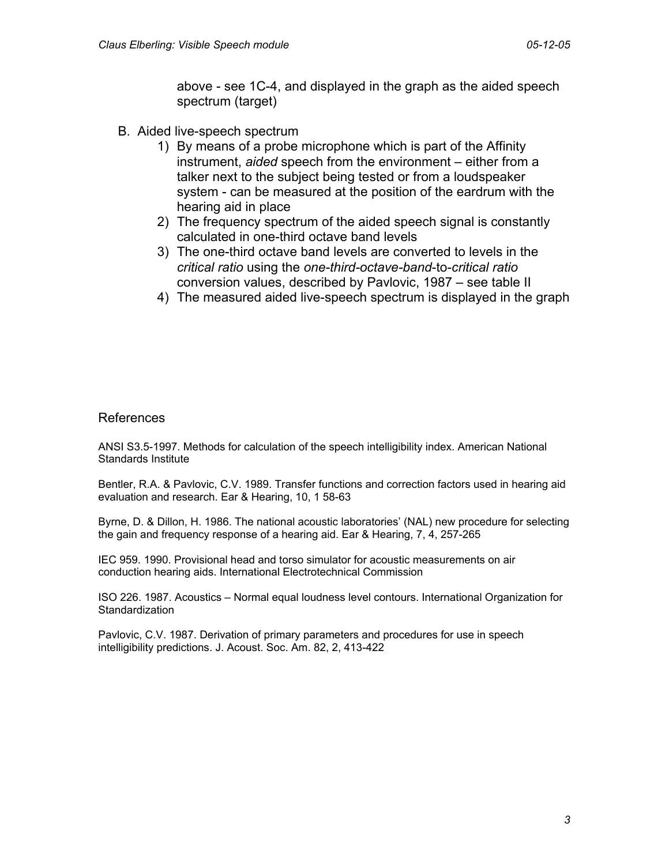above - see 1C-4, and displayed in the graph as the aided speech spectrum (target)

- B. Aided live-speech spectrum
	- 1) By means of a probe microphone which is part of the Affinity instrument, *aided* speech from the environment – either from a talker next to the subject being tested or from a loudspeaker system - can be measured at the position of the eardrum with the hearing aid in place
	- 2) The frequency spectrum of the aided speech signal is constantly calculated in one-third octave band levels
	- 3) The one-third octave band levels are converted to levels in the *critical ratio* using the *one-third-octave-band*-to-*critical ratio*  conversion values, described by Pavlovic, 1987 – see table II
	- 4) The measured aided live-speech spectrum is displayed in the graph

## References

ANSI S3.5-1997. Methods for calculation of the speech intelligibility index. American National Standards Institute

Bentler, R.A. & Pavlovic, C.V. 1989. Transfer functions and correction factors used in hearing aid evaluation and research. Ear & Hearing, 10, 1 58-63

Byrne, D. & Dillon, H. 1986. The national acoustic laboratories' (NAL) new procedure for selecting the gain and frequency response of a hearing aid. Ear & Hearing, 7, 4, 257-265

IEC 959. 1990. Provisional head and torso simulator for acoustic measurements on air conduction hearing aids. International Electrotechnical Commission

ISO 226. 1987. Acoustics – Normal equal loudness level contours. International Organization for **Standardization** 

Pavlovic, C.V. 1987. Derivation of primary parameters and procedures for use in speech intelligibility predictions. J. Acoust. Soc. Am. 82, 2, 413-422